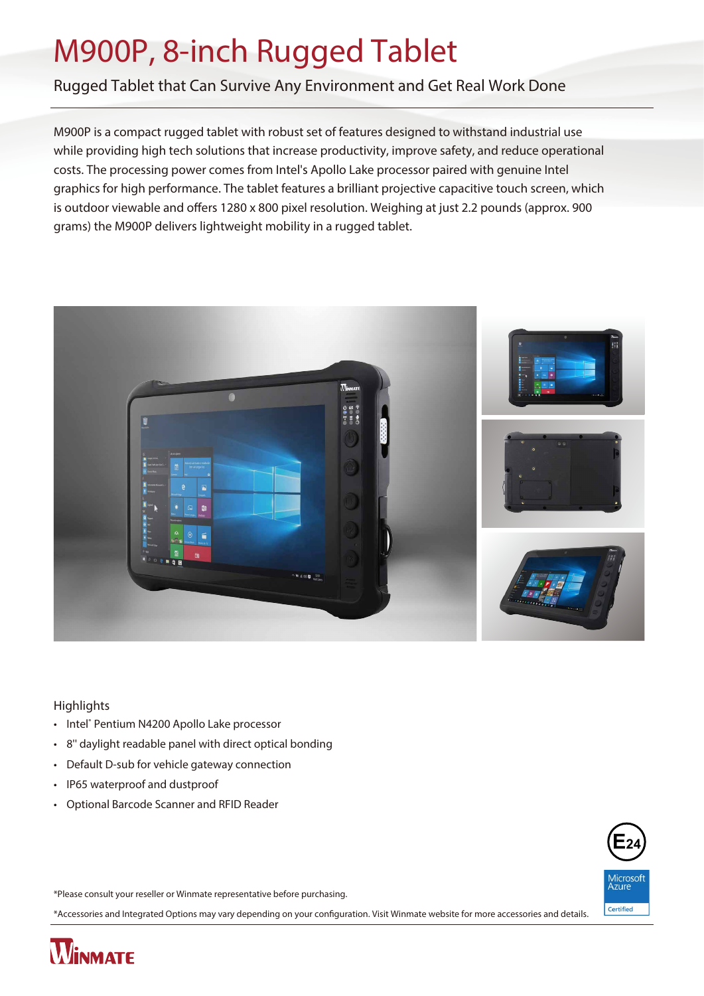# M900P, 8-inch Rugged Tablet

Rugged Tablet that Can Survive Any Environment and Get Real Work Done

M900P is a compact rugged tablet with robust set of features designed to withstand industrial use while providing high tech solutions that increase productivity, improve safety, and reduce operational costs. The processing power comes from Intel's Apollo Lake processor paired with genuine Intel graphics for high performance. The tablet features a brilliant projective capacitive touch screen, which is outdoor viewable and offers 1280 x 800 pixel resolution. Weighing at just 2.2 pounds (approx. 900 grams) the M900P delivers lightweight mobility in a rugged tablet.



#### **Highlights**

- Intel® Pentium N4200 Apollo Lake processor
- 8'' daylight readable panel with direct optical bonding
- Default D-sub for vehicle gateway connection
- IP65 waterproof and dustproof
- Optional Barcode Scanner and RFID Reader



\*Please consult your reseller or Winmate representative before purchasing.

\*Accessories and Integrated Options may vary depending on your conguration. Visit Winmate website for more accessories and details.